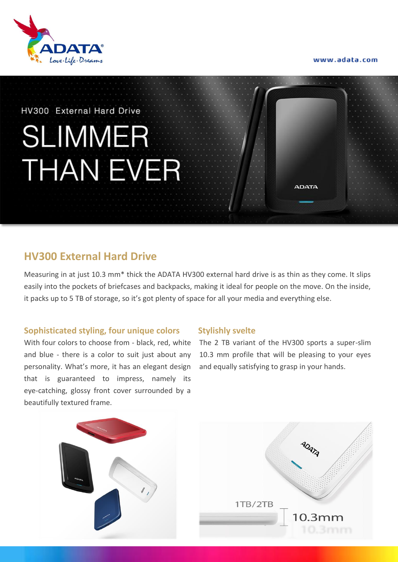



#### HV300 External Hard Drive

# **SLIMMER THAN EVER**

## **HV300 External Hard Drive**

Measuring in at just 10.3 mm\* thick the ADATA HV300 external hard drive is as thin as they come. It slips easily into the pockets of briefcases and backpacks, making it ideal for people on the move. On the inside, it packs up to 5 TB of storage, so it's got plenty of space for all your media and everything else.

#### **Sophisticated styling, four unique colors**

With four colors to choose from - black, red, white and blue - there is a color to suit just about any personality. What's more, it has an elegant design that is guaranteed to impress, namely its eye-catching, glossy front cover surrounded by a beautifully textured frame.

#### **Stylishly svelte**

The 2 TB variant of the HV300 sports a super-slim 10.3 mm profile that will be pleasing to your eyes and equally satisfying to grasp in your hands.

**ADATA**